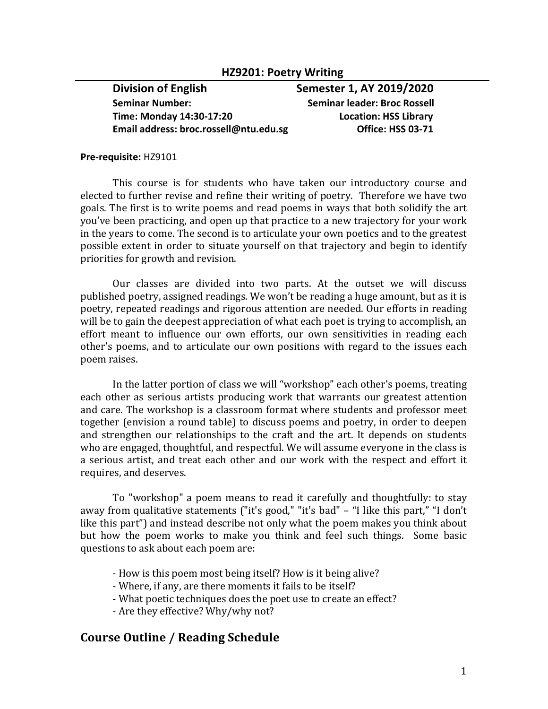### **HZ9201: Poetry Writing**

**Seminar Number: Seminar leader: Broc Rossell Time: Monday 14:30-17:20 Location: HSS Library**  Email address: broc.rossell@ntu.edu.sg **by Collection Collection** Office: HSS 03-71

**Division of English Semester 1, AY 2019/2020** 

#### **Pre-requisite:** HZ9101

This course is for students who have taken our introductory course and elected to further revise and refine their writing of poetry. Therefore we have two goals. The first is to write poems and read poems in ways that both solidify the art you've been practicing, and open up that practice to a new trajectory for your work in the years to come. The second is to articulate your own poetics and to the greatest possible extent in order to situate yourself on that trajectory and begin to identify priorities for growth and revision.

Our classes are divided into two parts. At the outset we will discuss published poetry, assigned readings. We won't be reading a huge amount, but as it is poetry, repeated readings and rigorous attention are needed. Our efforts in reading will be to gain the deepest appreciation of what each poet is trying to accomplish, an effort meant to influence our own efforts, our own sensitivities in reading each other's poems, and to articulate our own positions with regard to the issues each poem raises.

In the latter portion of class we will "workshop" each other's poems, treating each other as serious artists producing work that warrants our greatest attention and care. The workshop is a classroom format where students and professor meet together (envision a round table) to discuss poems and poetry, in order to deepen and strengthen our relationships to the craft and the art. It depends on students who are engaged, thoughtful, and respectful. We will assume everyone in the class is a serious artist, and treat each other and our work with the respect and effort it requires, and deserves.

To "workshop" a poem means to read it carefully and thoughtfully: to stay away from qualitative statements ("it's good," "it's bad" - "I like this part," "I don't like this part") and instead describe not only what the poem makes you think about but how the poem works to make you think and feel such things. Some basic questions to ask about each poem are:

- How is this poem most being itself? How is it being alive?
- Where, if any, are there moments it fails to be itself?
- What poetic techniques does the poet use to create an effect?
- Are they effective? Why/why not?

# **Course Outline / Reading Schedule**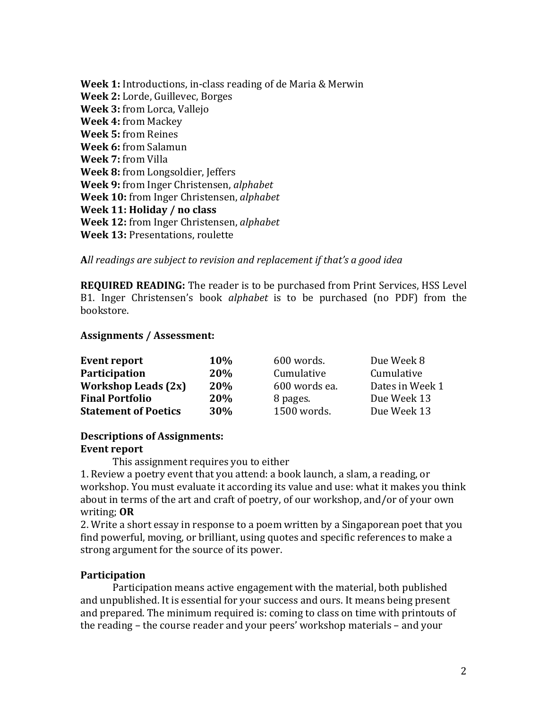**Week 1:** Introductions, in-class reading of de Maria & Merwin **Week 2:** Lorde, Guillevec, Borges **Week 3:** from Lorca, Vallejo **Week 4:** from Mackey **Week 5:** from Reines **Week 6:** from Salamun **Week 7:** from Villa **Week 8:** from Longsoldier, Jeffers **Week 9:** from Inger Christensen, *alphabet* **Week 10:** from Inger Christensen, *alphabet* **Week 11: Holiday / no class Week 12:** from Inger Christensen, *alphabet* **Week 13: Presentations, roulette** 

## All readings are subject to revision and replacement if that's a good idea

**REQUIRED READING:** The reader is to be purchased from Print Services, HSS Level B1. Inger Christensen's book *alphabet* is to be purchased (no PDF) from the bookstore.

### Assignments / Assessment:

| <b>Event report</b>         | <b>10%</b> | 600 words.    | Due Week 8      |
|-----------------------------|------------|---------------|-----------------|
| <b>Participation</b>        | 20%        | Cumulative    | Cumulative      |
| <b>Workshop Leads (2x)</b>  | 20%        | 600 words ea. | Dates in Week 1 |
| <b>Final Portfolio</b>      | 20%        | 8 pages.      | Due Week 13     |
| <b>Statement of Poetics</b> | 30%        | 1500 words.   | Due Week 13     |

## **Descriptions of Assignments:**

### **Event report**

This assignment requires you to either

1. Review a poetry event that you attend: a book launch, a slam, a reading, or workshop. You must evaluate it according its value and use: what it makes you think about in terms of the art and craft of poetry, of our workshop, and/or of your own writing; OR

2. Write a short essay in response to a poem written by a Singaporean poet that you find powerful, moving, or brilliant, using quotes and specific references to make a strong argument for the source of its power.

## **Participation**

Participation means active engagement with the material, both published and unpublished. It is essential for your success and ours. It means being present and prepared. The minimum required is: coming to class on time with printouts of the reading – the course reader and your peers' workshop materials – and your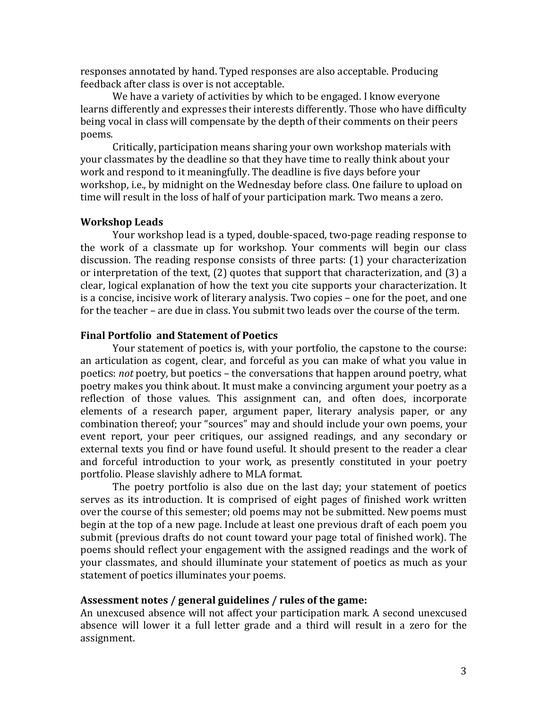responses annotated by hand. Typed responses are also acceptable. Producing feedback after class is over is not acceptable.

We have a variety of activities by which to be engaged. I know everyone learns differently and expresses their interests differently. Those who have difficulty being vocal in class will compensate by the depth of their comments on their peers poems.

Critically, participation means sharing your own workshop materials with your classmates by the deadline so that they have time to really think about your work and respond to it meaningfully. The deadline is five days before your workshop, i.e., by midnight on the Wednesday before class. One failure to upload on time will result in the loss of half of your participation mark. Two means a zero.

#### **Workshop Leads**

Your workshop lead is a typed, double-spaced, two-page reading response to the work of a classmate up for workshop. Your comments will begin our class discussion. The reading response consists of three parts:  $(1)$  your characterization or interpretation of the text,  $(2)$  quotes that support that characterization, and  $(3)$  a clear, logical explanation of how the text you cite supports your characterization. It is a concise, incisive work of literary analysis. Two copies – one for the poet, and one for the teacher – are due in class. You submit two leads over the course of the term.

#### **Final Portfolio and Statement of Poetics**

Your statement of poetics is, with your portfolio, the capstone to the course: an articulation as cogent, clear, and forceful as you can make of what you value in poetics: *not* poetry, but poetics – the conversations that happen around poetry, what poetry makes you think about. It must make a convincing argument your poetry as a reflection of those values. This assignment can, and often does, incorporate elements of a research paper, argument paper, literary analysis paper, or any combination thereof; your "sources" may and should include your own poems, your event report, your peer critiques, our assigned readings, and any secondary or external texts you find or have found useful. It should present to the reader a clear and forceful introduction to your work, as presently constituted in your poetry portfolio. Please slavishly adhere to MLA format.

The poetry portfolio is also due on the last day; your statement of poetics serves as its introduction. It is comprised of eight pages of finished work written over the course of this semester; old poems may not be submitted. New poems must begin at the top of a new page. Include at least one previous draft of each poem you submit (previous drafts do not count toward your page total of finished work). The poems should reflect your engagement with the assigned readings and the work of your classmates, and should illuminate your statement of poetics as much as your statement of poetics illuminates your poems.

#### Assessment notes / general guidelines / rules of the game:

An unexcused absence will not affect your participation mark. A second unexcused absence will lower it a full letter grade and a third will result in a zero for the assignment.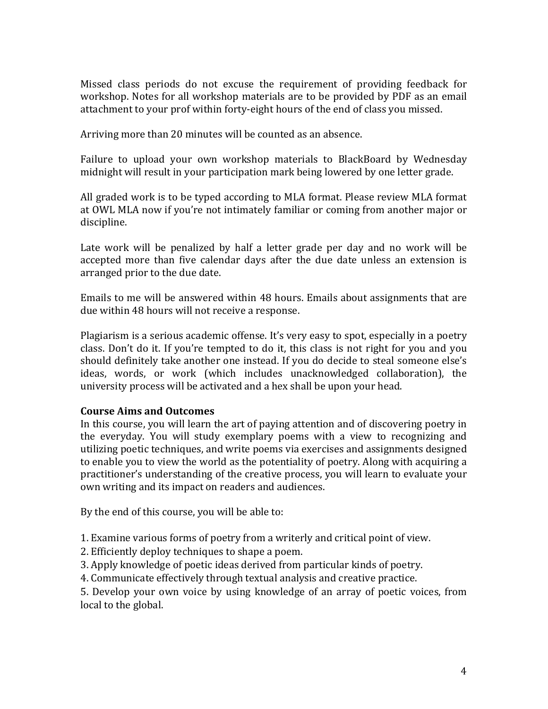Missed class periods do not excuse the requirement of providing feedback for workshop. Notes for all workshop materials are to be provided by PDF as an email attachment to your prof within forty-eight hours of the end of class you missed.

Arriving more than 20 minutes will be counted as an absence.

Failure to upload your own workshop materials to BlackBoard by Wednesday midnight will result in your participation mark being lowered by one letter grade.

All graded work is to be typed according to MLA format. Please review MLA format at OWL MLA now if you're not intimately familiar or coming from another major or discipline.

Late work will be penalized by half a letter grade per day and no work will be accepted more than five calendar days after the due date unless an extension is arranged prior to the due date.

Emails to me will be answered within 48 hours. Emails about assignments that are due within 48 hours will not receive a response.

Plagiarism is a serious academic offense. It's very easy to spot, especially in a poetry class. Don't do it. If you're tempted to do it, this class is not right for you and you should definitely take another one instead. If you do decide to steal someone else's ideas, words, or work (which includes unacknowledged collaboration), the university process will be activated and a hex shall be upon your head.

## **Course Aims and Outcomes**

In this course, you will learn the art of paying attention and of discovering poetry in the everyday. You will study exemplary poems with a view to recognizing and utilizing poetic techniques, and write poems via exercises and assignments designed to enable you to view the world as the potentiality of poetry. Along with acquiring a practitioner's understanding of the creative process, you will learn to evaluate your own writing and its impact on readers and audiences.

By the end of this course, you will be able to:

1. Examine various forms of poetry from a writerly and critical point of view.

- 2. Efficiently deploy techniques to shape a poem.
- 3. Apply knowledge of poetic ideas derived from particular kinds of poetry.
- 4. Communicate effectively through textual analysis and creative practice.

5. Develop your own voice by using knowledge of an array of poetic voices, from local to the global.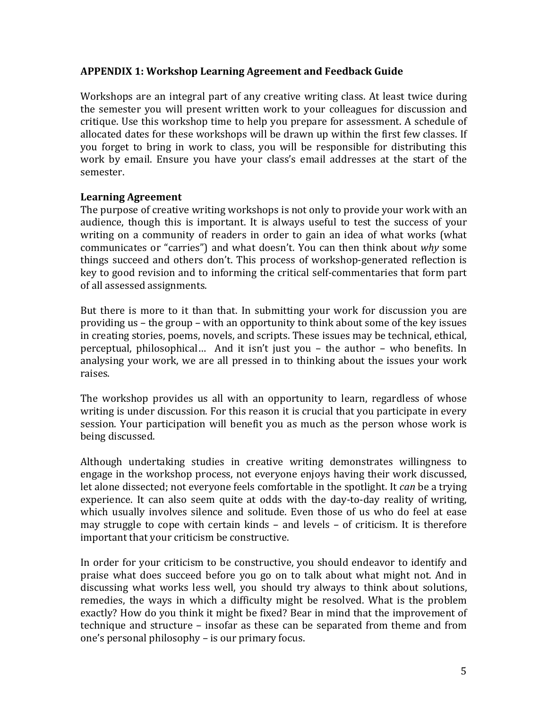## **APPENDIX 1: Workshop Learning Agreement and Feedback Guide**

Workshops are an integral part of any creative writing class. At least twice during the semester you will present written work to your colleagues for discussion and critique. Use this workshop time to help you prepare for assessment. A schedule of allocated dates for these workshops will be drawn up within the first few classes. If you forget to bring in work to class, you will be responsible for distributing this work by email. Ensure you have your class's email addresses at the start of the semester. 

## **Learning Agreement**

The purpose of creative writing workshops is not only to provide your work with an audience, though this is important. It is always useful to test the success of your writing on a community of readers in order to gain an idea of what works (what communicates or "carries") and what doesn't. You can then think about why some things succeed and others don't. This process of workshop-generated reflection is key to good revision and to informing the critical self-commentaries that form part of all assessed assignments.

But there is more to it than that. In submitting your work for discussion you are providing us - the group - with an opportunity to think about some of the key issues in creating stories, poems, novels, and scripts. These issues may be technical, ethical, perceptual, philosophical... And it isn't just you – the author – who benefits. In analysing your work, we are all pressed in to thinking about the issues your work raises. 

The workshop provides us all with an opportunity to learn, regardless of whose writing is under discussion. For this reason it is crucial that you participate in every session. Your participation will benefit you as much as the person whose work is being discussed.

Although undertaking studies in creative writing demonstrates willingness to engage in the workshop process, not everyone enjoys having their work discussed, let alone dissected; not everyone feels comfortable in the spotlight. It *can* be a trying experience. It can also seem quite at odds with the day-to-day reality of writing, which usually involves silence and solitude. Even those of us who do feel at ease may struggle to cope with certain kinds  $-$  and levels  $-$  of criticism. It is therefore important that your criticism be constructive.

In order for your criticism to be constructive, you should endeavor to identify and praise what does succeed before you go on to talk about what might not. And in discussing what works less well, you should try always to think about solutions, remedies, the ways in which a difficulty might be resolved. What is the problem exactly? How do you think it might be fixed? Bear in mind that the improvement of technique and structure – insofar as these can be separated from theme and from one's personal philosophy – is our primary focus.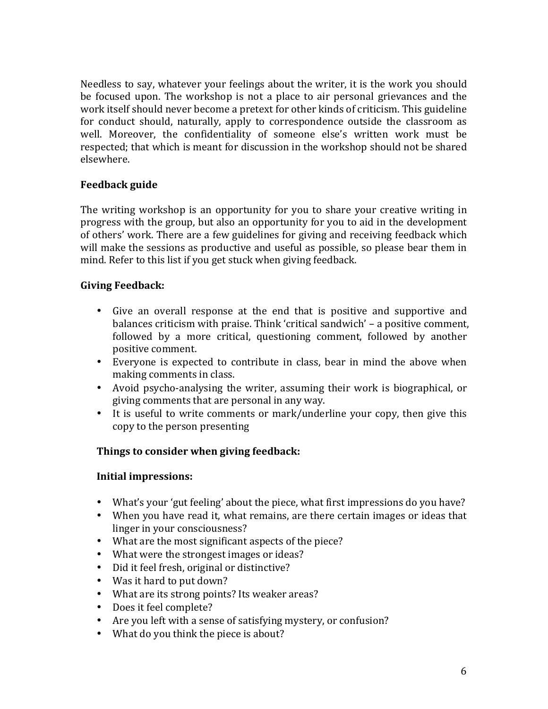Needless to say, whatever your feelings about the writer, it is the work you should be focused upon. The workshop is not a place to air personal grievances and the work itself should never become a pretext for other kinds of criticism. This guideline for conduct should, naturally, apply to correspondence outside the classroom as well. Moreover, the confidentiality of someone else's written work must be respected; that which is meant for discussion in the workshop should not be shared elsewhere.

## **Feedback guide**

The writing workshop is an opportunity for you to share your creative writing in progress with the group, but also an opportunity for you to aid in the development of others' work. There are a few guidelines for giving and receiving feedback which will make the sessions as productive and useful as possible, so please bear them in mind. Refer to this list if you get stuck when giving feedback.

## **Giving Feedback:**

- Give an overall response at the end that is positive and supportive and balances criticism with praise. Think 'critical sandwich' – a positive comment, followed by a more critical, questioning comment, followed by another positive comment.
- Everyone is expected to contribute in class, bear in mind the above when making comments in class.
- Avoid psycho-analysing the writer, assuming their work is biographical, or giving comments that are personal in any way.
- It is useful to write comments or mark/underline your copy, then give this copy to the person presenting

## **Things to consider when giving feedback:**

## **Initial impressions:**

- What's your 'gut feeling' about the piece, what first impressions do you have?
- When you have read it, what remains, are there certain images or ideas that linger in your consciousness?
- What are the most significant aspects of the piece?
- What were the strongest images or ideas?
- Did it feel fresh, original or distinctive?
- Was it hard to put down?
- What are its strong points? Its weaker areas?
- Does it feel complete?
- Are you left with a sense of satisfying mystery, or confusion?
- What do you think the piece is about?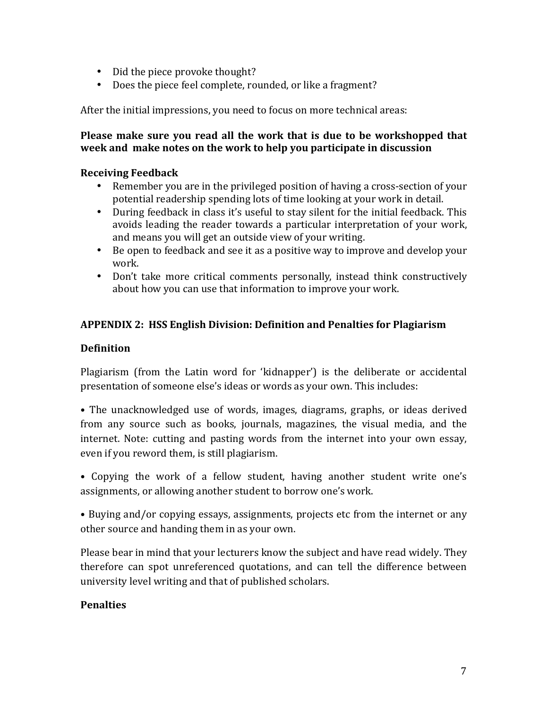- Did the piece provoke thought?
- Does the piece feel complete, rounded, or like a fragment?

After the initial impressions, you need to focus on more technical areas:

## **Please make sure you read all the work that is due to be workshopped that week** and make notes on the work to help you participate in discussion

## **Receiving Feedback**

- Remember you are in the privileged position of having a cross-section of your potential readership spending lots of time looking at your work in detail.
- During feedback in class it's useful to stay silent for the initial feedback. This avoids leading the reader towards a particular interpretation of your work, and means you will get an outside view of your writing.
- Be open to feedback and see it as a positive way to improve and develop your work.
- Don't take more critical comments personally, instead think constructively about how you can use that information to improve your work.

## **APPENDIX 2: HSS English Division: Definition and Penalties for Plagiarism**

## **Definition**

Plagiarism (from the Latin word for 'kidnapper') is the deliberate or accidental presentation of someone else's ideas or words as your own. This includes:

• The unacknowledged use of words, images, diagrams, graphs, or ideas derived from any source such as books, journals, magazines, the visual media, and the internet. Note: cutting and pasting words from the internet into your own essay, even if you reword them, is still plagiarism.

• Copying the work of a fellow student, having another student write one's assignments, or allowing another student to borrow one's work.

• Buying and/or copying essays, assignments, projects etc from the internet or any other source and handing them in as your own.

Please bear in mind that your lecturers know the subject and have read widely. They therefore can spot unreferenced quotations, and can tell the difference between university level writing and that of published scholars.

## **Penalties**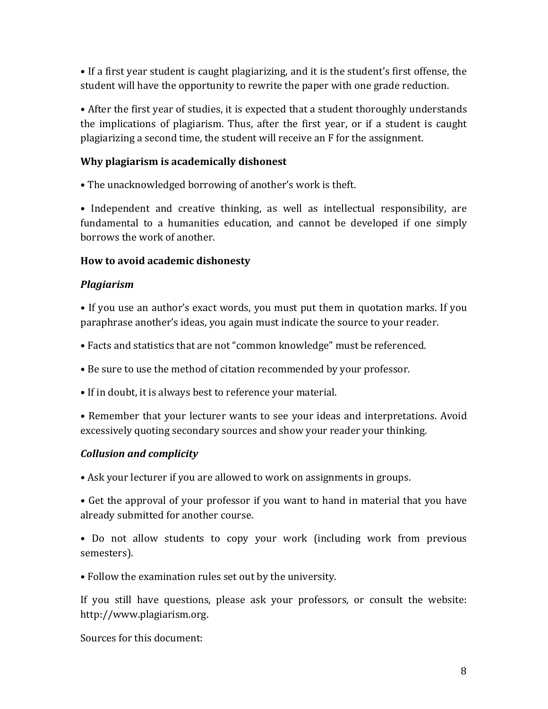• If a first year student is caught plagiarizing, and it is the student's first offense, the student will have the opportunity to rewrite the paper with one grade reduction.

• After the first year of studies, it is expected that a student thoroughly understands the implications of plagiarism. Thus, after the first year, or if a student is caught plagiarizing a second time, the student will receive an F for the assignment.

# **Why plagiarism is academically dishonest**

• The unacknowledged borrowing of another's work is theft.

• Independent and creative thinking, as well as intellectual responsibility, are fundamental to a humanities education, and cannot be developed if one simply borrows the work of another.

# **How** to avoid academic dishonesty

# *Plagiarism*

• If you use an author's exact words, you must put them in quotation marks. If you paraphrase another's ideas, you again must indicate the source to your reader.

• Facts and statistics that are not "common knowledge" must be referenced.

• Be sure to use the method of citation recommended by your professor.

• If in doubt, it is always best to reference your material.

• Remember that your lecturer wants to see your ideas and interpretations. Avoid excessively quoting secondary sources and show your reader your thinking.

# *Collusion and complicity*

• Ask your lecturer if you are allowed to work on assignments in groups.

• Get the approval of your professor if you want to hand in material that you have already submitted for another course.

• Do not allow students to copy your work (including work from previous semesters). 

• Follow the examination rules set out by the university.

If you still have questions, please ask your professors, or consult the website: http://www.plagiarism.org. 

Sources for this document: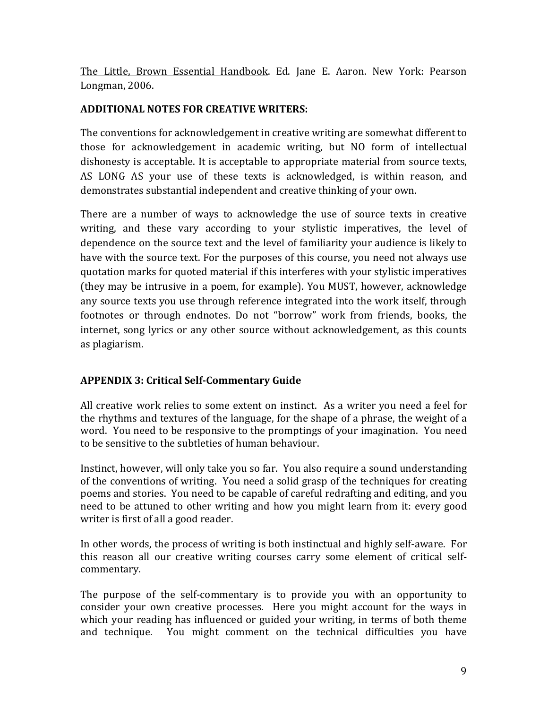The Little, Brown Essential Handbook. Ed. Jane E. Aaron. New York: Pearson Longman, 2006.

## **ADDITIONAL NOTES FOR CREATIVE WRITERS:**

The conventions for acknowledgement in creative writing are somewhat different to those for acknowledgement in academic writing, but NO form of intellectual dishonesty is acceptable. It is acceptable to appropriate material from source texts, AS LONG AS your use of these texts is acknowledged, is within reason, and demonstrates substantial independent and creative thinking of your own.

There are a number of ways to acknowledge the use of source texts in creative writing, and these vary according to your stylistic imperatives, the level of dependence on the source text and the level of familiarity your audience is likely to have with the source text. For the purposes of this course, you need not always use quotation marks for quoted material if this interferes with your stylistic imperatives (they may be intrusive in a poem, for example). You MUST, however, acknowledge any source texts you use through reference integrated into the work itself, through footnotes or through endnotes. Do not "borrow" work from friends, books, the internet, song lyrics or any other source without acknowledgement, as this counts as plagiarism.

# **APPENDIX 3: Critical Self-Commentary Guide**

All creative work relies to some extent on instinct. As a writer you need a feel for the rhythms and textures of the language, for the shape of a phrase, the weight of a word. You need to be responsive to the promptings of your imagination. You need to be sensitive to the subtleties of human behaviour.

Instinct, however, will only take you so far. You also require a sound understanding of the conventions of writing. You need a solid grasp of the techniques for creating poems and stories. You need to be capable of careful redrafting and editing, and you need to be attuned to other writing and how you might learn from it: every good writer is first of all a good reader.

In other words, the process of writing is both instinctual and highly self-aware. For this reason all our creative writing courses carry some element of critical selfcommentary.

The purpose of the self-commentary is to provide you with an opportunity to consider your own creative processes. Here you might account for the ways in which your reading has influenced or guided your writing, in terms of both theme and technique. You might comment on the technical difficulties you have